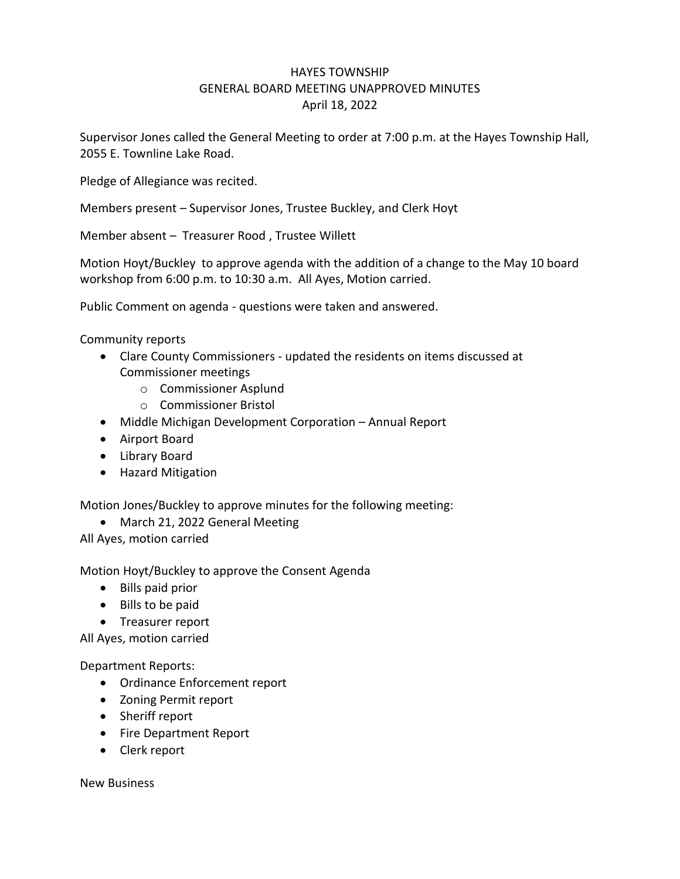## HAYES TOWNSHIP GENERAL BOARD MEETING UNAPPROVED MINUTES April 18, 2022

Supervisor Jones called the General Meeting to order at 7:00 p.m. at the Hayes Township Hall, 2055 E. Townline Lake Road.

Pledge of Allegiance was recited.

Members present – Supervisor Jones, Trustee Buckley, and Clerk Hoyt

Member absent – Treasurer Rood , Trustee Willett

Motion Hoyt/Buckley to approve agenda with the addition of a change to the May 10 board workshop from 6:00 p.m. to 10:30 a.m. All Ayes, Motion carried.

Public Comment on agenda - questions were taken and answered.

Community reports

- Clare County Commissioners updated the residents on items discussed at Commissioner meetings
	- o Commissioner Asplund
	- o Commissioner Bristol
- Middle Michigan Development Corporation Annual Report
- Airport Board
- Library Board
- Hazard Mitigation

Motion Jones/Buckley to approve minutes for the following meeting:

• March 21, 2022 General Meeting

All Ayes, motion carried

Motion Hoyt/Buckley to approve the Consent Agenda

- Bills paid prior
- Bills to be paid
- Treasurer report

All Ayes, motion carried

Department Reports:

- Ordinance Enforcement report
- Zoning Permit report
- Sheriff report
- Fire Department Report
- Clerk report

New Business